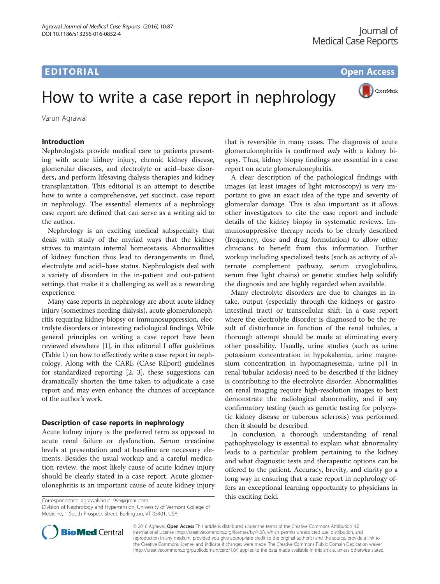# EDITORIAL AND CONTROL CONTROL CONTROL CONTROL CONTROL CONTROL CONTROL CONTROL CONTROL CONTROL CONTROL CONTROL CONTROL CONTROL CONTROL CONTROL CONTROL CONTROL CONTROL CONTROL CONTROL CONTROL CONTROL CONTROL CONTROL CONTROL



# How to write a case report in nephrology

Varun Agrawal

#### Introduction

Nephrologists provide medical care to patients presenting with acute kidney injury, chronic kidney disease, glomerular diseases, and electrolyte or acid–base disorders, and perform lifesaving dialysis therapies and kidney transplantation. This editorial is an attempt to describe how to write a comprehensive, yet succinct, case report in nephrology. The essential elements of a nephrology case report are defined that can serve as a writing aid to the author.

Nephrology is an exciting medical subspecialty that deals with study of the myriad ways that the kidney strives to maintain internal homeostasis. Abnormalities of kidney function thus lead to derangements in fluid, electrolyte and acid–base status. Nephrologists deal with a variety of disorders in the in-patient and out-patient settings that make it a challenging as well as a rewarding experience.

Many case reports in nephrology are about acute kidney injury (sometimes needing dialysis), acute glomerulonephritis requiring kidney biopsy or immunosuppression, electrolyte disorders or interesting radiological findings. While general principles on writing a case report have been reviewed elsewhere [[1](#page-1-0)], in this editorial I offer guidelines (Table [1](#page-1-0)) on how to effectively write a case report in nephrology. Along with the CARE (CAse REport) guidelines for standardized reporting [[2, 3](#page-1-0)], these suggestions can dramatically shorten the time taken to adjudicate a case report and may even enhance the chances of acceptance of the author's work.

### Description of case reports in nephrology

Acute kidney injury is the preferred term as opposed to acute renal failure or dysfunction. Serum creatinine levels at presentation and at baseline are necessary elements. Besides the usual workup and a careful medication review, the most likely cause of acute kidney injury should be clearly stated in a case report. Acute glomerulonephritis is an important cause of acute kidney injury

this exciting field. Correspondence: [agrawalvarun1996@gmail.com](mailto:agrawalvarun1996@gmail.com)

Division of Nephrology and Hypertension, University of Vermont College of Medicine, 1 South Prospect Street, Burlington, VT 05401, USA



A clear description of the pathological findings with images (at least images of light microscopy) is very important to give an exact idea of the type and severity of glomerular damage. This is also important as it allows other investigators to cite the case report and include details of the kidney biopsy in systematic reviews. Immunosuppressive therapy needs to be clearly described (frequency, dose and drug formulation) to allow other clinicians to benefit from this information. Further workup including specialized tests (such as activity of alternate complement pathway, serum cryoglobulins, serum free light chains) or genetic studies help solidify the diagnosis and are highly regarded when available.

Many electrolyte disorders are due to changes in intake, output (especially through the kidneys or gastrointestinal tract) or transcellular shift. In a case report where the electrolyte disorder is diagnosed to be the result of disturbance in function of the renal tubules, a thorough attempt should be made at eliminating every other possibility. Usually, urine studies (such as urine potassium concentration in hypokalemia, urine magnesium concentration in hypomagnesemia, urine pH in renal tubular acidosis) need to be described if the kidney is contributing to the electrolyte disorder. Abnormalities on renal imaging require high-resolution images to best demonstrate the radiological abnormality, and if any confirmatory testing (such as genetic testing for polycystic kidney disease or tuberous sclerosis) was performed then it should be described.

In conclusion, a thorough understanding of renal pathophysiology is essential to explain what abnormality leads to a particular problem pertaining to the kidney and what diagnostic tests and therapeutic options can be offered to the patient. Accuracy, brevity, and clarity go a long way in ensuring that a case report in nephrology offers an exceptional learning opportunity to physicians in



© 2016 Agrawal. Open Access This article is distributed under the terms of the Creative Commons Attribution 4.0 International License [\(http://creativecommons.org/licenses/by/4.0/](http://creativecommons.org/licenses/by/4.0/)), which permits unrestricted use, distribution, and reproduction in any medium, provided you give appropriate credit to the original author(s) and the source, provide a link to the Creative Commons license, and indicate if changes were made. The Creative Commons Public Domain Dedication waiver [\(http://creativecommons.org/publicdomain/zero/1.0/](http://creativecommons.org/publicdomain/zero/1.0/)) applies to the data made available in this article, unless otherwise stated.